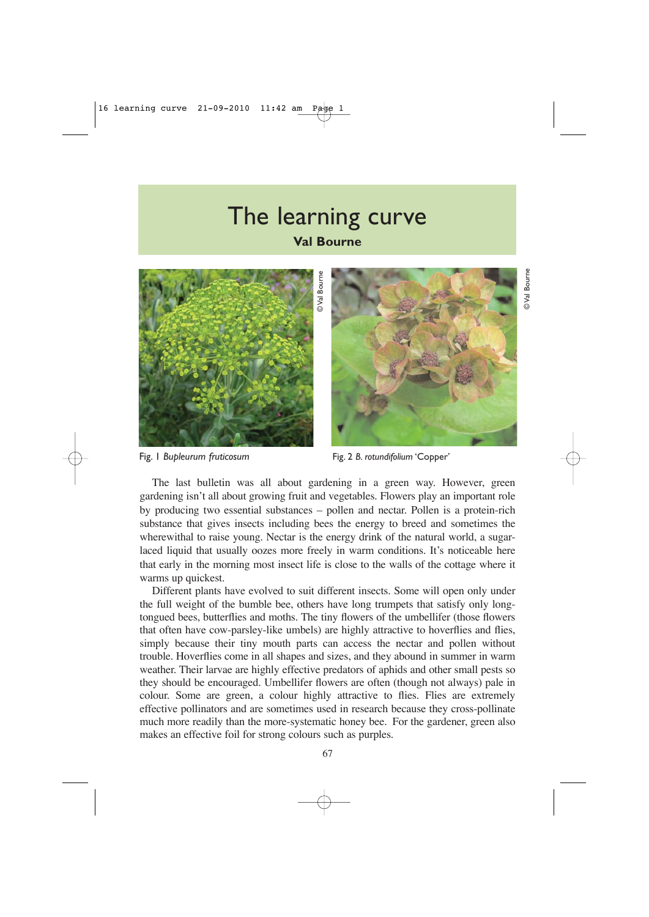## The learning curve







Fig. 1 *Bupleurum fruticosum* Fig. 2 *B. rotundifolium* 'Copper'

The last bulletin was all about gardening in a green way. However, green gardening isn't all about growing fruit and vegetables. Flowers play an important role by producing two essential substances – pollen and nectar. Pollen is a protein-rich substance that gives insects including bees the energy to breed and sometimes the wherewithal to raise young. Nectar is the energy drink of the natural world, a sugarlaced liquid that usually oozes more freely in warm conditions. It's noticeable here that early in the morning most insect life is close to the walls of the cottage where it warms up quickest.

Different plants have evolved to suit different insects. Some will open only under the full weight of the bumble bee, others have long trumpets that satisfy only longtongued bees, butterflies and moths. The tiny flowers of the umbellifer (those flowers that often have cow-parsley-like umbels) are highly attractive to hoverflies and flies, simply because their tiny mouth parts can access the nectar and pollen without trouble. Hoverflies come in all shapes and sizes, and they abound in summer in warm weather. Their larvae are highly effective predators of aphids and other small pests so they should be encouraged. Umbellifer flowers are often (though not always) pale in colour. Some are green, a colour highly attractive to flies. Flies are extremely effective pollinators and are sometimes used in research because they cross-pollinate much more readily than the more-systematic honey bee. For the gardener, green also Fig. 1 *Bupleurum frutiosum*<br>The last bulletin was all about gardening in a gradening is in tall about growth and vegetables. File<br>py producing two essential substances – pollen and necessarilation<br>substance that gives ins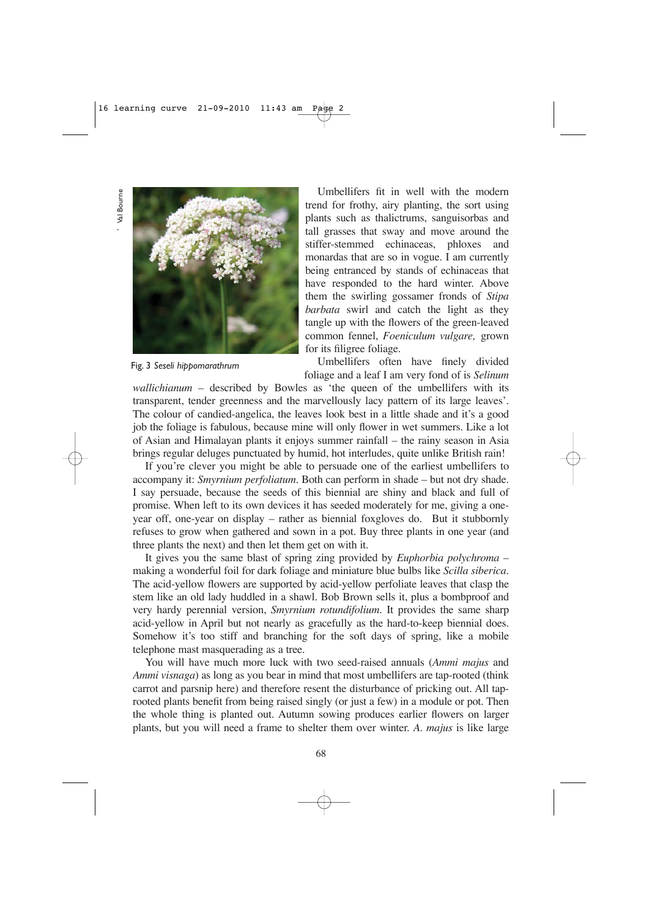' Val Bourne Val Bourne



Fig. 3 *Seseli hippomarathrum*

Umbellifers fit in well with the modern trend for frothy, airy planting, the sort using plants such as thalictrums, sanguisorbas and tall grasses that sway and move around the stiffer-stemmed echinaceas, phloxes and monardas that are so in vogue. I am currently being entranced by stands of echinaceas that have responded to the hard winter. Above them the swirling gossamer fronds of *Stipa barbata* swirl and catch the light as they tangle up with the flowers of the green-leaved common fennel, *Foeniculum vulgare,* grown for its filigree foliage.

Umbellifers often have finely divided foliage and a leaf I am very fond of is *Selinum*

*wallichianum* – described by Bowles as 'the queen of the umbellifers with its transparent, tender greenness and the marvellously lacy pattern of its large leaves'. The colour of candied-angelica, the leaves look best in a little shade and it's a good job the foliage is fabulous, because mine will only flower in wet summers. Like a lot of Asian and Himalayan plants it enjoys summer rainfall – the rainy season in Asia brings regular deluges punctuated by humid, hot interludes, quite unlike British rain!

If you're clever you might be able to persuade one of the earliest umbellifers to accompany it: *Smyrnium perfoliatum*. Both can perform in shade – but not dry shade. I say persuade, because the seeds of this biennial are shiny and black and full of promise. When left to its own devices it has seeded moderately for me, giving a oneyear off, one-year on display – rather as biennial foxgloves do. But it stubbornly refuses to grow when gathered and sown in a pot. Buy three plants in one year (and three plants the next) and then let them get on with it.

It gives you the same blast of spring zing provided by *Euphorbia polychroma* – making a wonderful foil for dark foliage and miniature blue bulbs like *Scilla siberica*. The acid-yellow flowers are supported by acid-yellow perfoliate leaves that clasp the stem like an old lady huddled in a shawl. Bob Brown sells it, plus a bombproof and very hardy perennial version, *Smyrnium rotundifolium*. It provides the same sharp acid-yellow in April but not nearly as gracefully as the hard-to-keep biennial does. Somehow it's too stiff and branching for the soft days of spring, like a mobile telephone mast masquerading as a tree.

You will have much more luck with two seed-raised annuals (*Ammi majus* and *Ammi visnaga*) as long as you bear in mind that most umbellifers are tap-rooted (think carrot and parsnip here) and therefore resent the disturbance of pricking out. All taprooted plants benefit from being raised singly (or just a few) in a module or pot. Then the whole thing is planted out. Autumn sowing produces earlier flowers on larger plants, but you will need a frame to shelter them over winter. *A. majus* is like large